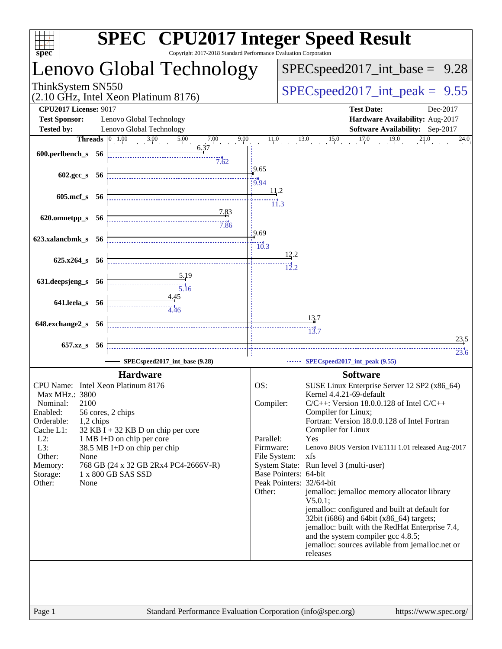| <b>SPEC<sup>®</sup></b> CPU2017 Integer Speed Result<br>Copyright 2017-2018 Standard Performance Evaluation Corporation<br>$sp\overline{ec}$ |                                                                                              |                                  |                                                                                           |  |  |  |  |
|----------------------------------------------------------------------------------------------------------------------------------------------|----------------------------------------------------------------------------------------------|----------------------------------|-------------------------------------------------------------------------------------------|--|--|--|--|
|                                                                                                                                              | Lenovo Global Technology                                                                     |                                  | $SPEC speed2017\_int\_base = 9.28$                                                        |  |  |  |  |
| ThinkSystem SN550                                                                                                                            | (2.10 GHz, Intel Xeon Platinum 8176)                                                         |                                  | $SPEC speed2017\_int\_peak = 9.55$                                                        |  |  |  |  |
| <b>CPU2017 License: 9017</b><br><b>Test Sponsor:</b>                                                                                         | Lenovo Global Technology                                                                     |                                  | <b>Test Date:</b><br>Dec-2017<br>Hardware Availability: Aug-2017                          |  |  |  |  |
| <b>Tested by:</b>                                                                                                                            | Lenovo Global Technology                                                                     |                                  | Software Availability: Sep-2017                                                           |  |  |  |  |
| $600.$ perlbench_s 56                                                                                                                        | <b>Threads</b> $\begin{bmatrix} 0 & 1.00 & 3.00 & 5.00 & 7.00 \end{bmatrix}$<br>9.00<br>7.62 |                                  | $11.0$ $13.0$ $15.0$ $17.0$ $19.0$ $21.0$<br>24.0                                         |  |  |  |  |
| 602.gcc_s 56                                                                                                                                 |                                                                                              | .9.65<br>$-10.94$                |                                                                                           |  |  |  |  |
| 605.mcf_s 56                                                                                                                                 |                                                                                              | <u>11,2</u><br>$\overline{11.3}$ |                                                                                           |  |  |  |  |
| 620.omnetpp_s 56                                                                                                                             | <u>7.83</u><br>$-7.86$                                                                       | 9.69                             |                                                                                           |  |  |  |  |
| 623.xalancbmk_s 56                                                                                                                           |                                                                                              | $\frac{10.3}{ }$                 | $\frac{12.2}{ }$                                                                          |  |  |  |  |
| $625.x264_s$ 56                                                                                                                              |                                                                                              |                                  | $\frac{1}{2}$ .2                                                                          |  |  |  |  |
| 631.deepsjeng_s 56                                                                                                                           | <u>5.19</u><br>$\frac{1}{5.16}$                                                              |                                  |                                                                                           |  |  |  |  |
| 641.leela_s 56                                                                                                                               | 4.45<br>4.46                                                                                 |                                  | $\frac{13.7}{2}$                                                                          |  |  |  |  |
| 648.exchange2_s 56                                                                                                                           |                                                                                              |                                  | $\dddot{1}^{1\ast}_{3.7}$                                                                 |  |  |  |  |
|                                                                                                                                              |                                                                                              |                                  | 23.5                                                                                      |  |  |  |  |
| 657.xz_s 56                                                                                                                                  | SPECspeed2017_int_base (9.28)                                                                |                                  | 23.6<br>SPECspeed2017_int_peak (9.55)                                                     |  |  |  |  |
|                                                                                                                                              | <b>Hardware</b>                                                                              |                                  | <b>Software</b>                                                                           |  |  |  |  |
| CPU Name: Intel Xeon Platinum 8176                                                                                                           |                                                                                              | OS:                              | SUSE Linux Enterprise Server 12 SP2 (x86_64)                                              |  |  |  |  |
| Max MHz.: 3800                                                                                                                               |                                                                                              |                                  | Kernel 4.4.21-69-default                                                                  |  |  |  |  |
| 2100<br>Nominal:<br>Enabled:                                                                                                                 | 56 cores, 2 chips                                                                            | Compiler:                        | $C/C++$ : Version 18.0.0.128 of Intel $C/C++$<br>Compiler for Linux;                      |  |  |  |  |
| Orderable:<br>1,2 chips                                                                                                                      |                                                                                              |                                  | Fortran: Version 18.0.0.128 of Intel Fortran                                              |  |  |  |  |
| Cache L1:                                                                                                                                    | $32$ KB I + 32 KB D on chip per core                                                         |                                  | Compiler for Linux                                                                        |  |  |  |  |
| $L2$ :<br>L3:                                                                                                                                | 1 MB I+D on chip per core<br>38.5 MB I+D on chip per chip                                    | Parallel:<br>Firmware:           | Yes<br>Lenovo BIOS Version IVE111I 1.01 released Aug-2017                                 |  |  |  |  |
| Other:<br>None                                                                                                                               |                                                                                              | File System:                     | xfs                                                                                       |  |  |  |  |
| Memory:                                                                                                                                      | 768 GB (24 x 32 GB 2Rx4 PC4-2666V-R)                                                         |                                  | System State: Run level 3 (multi-user)                                                    |  |  |  |  |
| Storage:                                                                                                                                     | 1 x 800 GB SAS SSD                                                                           |                                  | Base Pointers: 64-bit<br>Peak Pointers: 32/64-bit                                         |  |  |  |  |
| Other:<br>None                                                                                                                               |                                                                                              | Other:                           | jemalloc: jemalloc memory allocator library                                               |  |  |  |  |
|                                                                                                                                              |                                                                                              |                                  | $V5.0.1$ :                                                                                |  |  |  |  |
|                                                                                                                                              |                                                                                              |                                  | jemalloc: configured and built at default for<br>32bit (i686) and 64bit (x86_64) targets; |  |  |  |  |
|                                                                                                                                              |                                                                                              |                                  | jemalloc: built with the RedHat Enterprise 7.4,                                           |  |  |  |  |
|                                                                                                                                              |                                                                                              |                                  | and the system compiler gcc 4.8.5;                                                        |  |  |  |  |
|                                                                                                                                              |                                                                                              |                                  | jemalloc: sources avilable from jemalloc.net or<br>releases                               |  |  |  |  |
|                                                                                                                                              |                                                                                              |                                  |                                                                                           |  |  |  |  |
|                                                                                                                                              |                                                                                              |                                  |                                                                                           |  |  |  |  |
|                                                                                                                                              |                                                                                              |                                  |                                                                                           |  |  |  |  |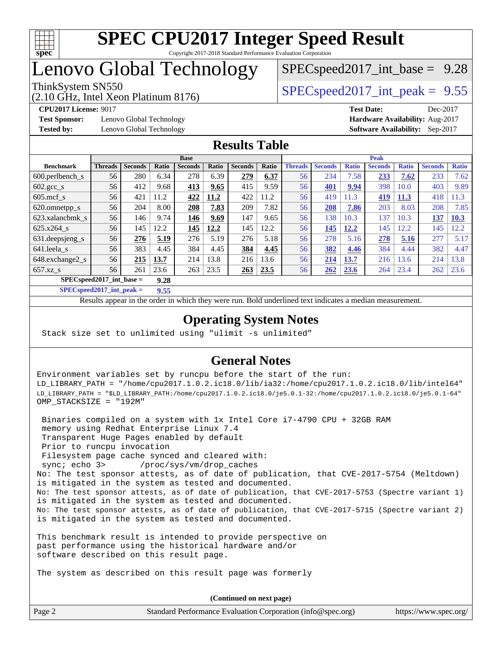

## Lenovo Global Technology

(2.10 GHz, Intel Xeon Platinum 8176)

ThinkSystem SN550  $SPEC speed2017$  int peak = 9.55  $SPECspeed2017\_int\_base = 9.28$ 

**[Test Sponsor:](http://www.spec.org/auto/cpu2017/Docs/result-fields.html#TestSponsor)** Lenovo Global Technology **[Hardware Availability:](http://www.spec.org/auto/cpu2017/Docs/result-fields.html#HardwareAvailability)** Aug-2017 **[Tested by:](http://www.spec.org/auto/cpu2017/Docs/result-fields.html#Testedby)** Lenovo Global Technology **[Software Availability:](http://www.spec.org/auto/cpu2017/Docs/result-fields.html#SoftwareAvailability)** Sep-2017

**[CPU2017 License:](http://www.spec.org/auto/cpu2017/Docs/result-fields.html#CPU2017License)** 9017 **[Test Date:](http://www.spec.org/auto/cpu2017/Docs/result-fields.html#TestDate)** Dec-2017

### **[Results Table](http://www.spec.org/auto/cpu2017/Docs/result-fields.html#ResultsTable)**

|                                    | <b>Base</b>    |                |       |                | <b>Peak</b> |                |             |                |                |              |                |              |                |              |
|------------------------------------|----------------|----------------|-------|----------------|-------------|----------------|-------------|----------------|----------------|--------------|----------------|--------------|----------------|--------------|
| <b>Benchmark</b>                   | <b>Threads</b> | <b>Seconds</b> | Ratio | <b>Seconds</b> | Ratio       | <b>Seconds</b> | Ratio       | <b>Threads</b> | <b>Seconds</b> | <b>Ratio</b> | <b>Seconds</b> | <b>Ratio</b> | <b>Seconds</b> | <b>Ratio</b> |
| $600.$ perlbench s                 | 56             | 280            | 6.34  | 278            | 6.39        | 279            | 6.37        | 56             | 234            | 7.58         | 233            | 7.62         | 233            | 7.62         |
| 602.gcc_s                          | 56             | 412            | 9.68  | 413            | 9.65        | 415            | 9.59        | 56             | 401            | 9.94         | 398            | 10.0         | 403            | 9.89         |
| $605$ .mcf s                       | 56             | 421            | 11.2  | 422            | 11.2        | 422            | 11.2        | 56             | 419            | 11.3         | 419            | 11.3         | 418            | 1.3          |
| 620.omnetpp_s                      | 56             | 204            | 8.00  | 208            | 7.83        | 209            | 7.82        | 56             | 208            | 7.86         | 203            | 8.03         | 208            | 7.85         |
| 623.xalancbmk s                    | 56             | 146            | 9.74  | 146            | 9.69        | 147            | 9.65        | 56             | 138            | 10.3         | 137            | 10.3         | 137            | <b>10.3</b>  |
| 625.x264 s                         | 56             | 145            | 12.2  | 145            | 12.2        | 145            | 12.2        | 56             | 145            | 12.2         | 145            | 2.2          | 145            | 12.2         |
| 631.deepsjeng_s                    | 56             | 276            | 5.19  | 276            | 5.19        | 276            | 5.18        | 56             | 278            | 5.16         | 278            | 5.16         | 277            | 5.17         |
| 641.leela s                        | 56             | 383            | 4.45  | 384            | 4.45        | 384            | 4.45        | 56             | 382            | 4.46         | 384            | 4.44         | 382            | 4.47         |
| 648.exchange2_s                    | 56             | 215            | 13.7  | 214            | 13.8        | 216            | 13.6        | 56             | 214            | <b>13.7</b>  | 216            | 13.6         | 214            | 13.8         |
| $657.xz$ s                         | 56             | 261            | 23.6  | 263            | 23.5        | 263            | <b>23.5</b> | 56             | 262            | 23.6         | 264            | 23.4         | 262            | 23.6         |
| $SPECspeed2017$ int base =<br>9.28 |                |                |       |                |             |                |             |                |                |              |                |              |                |              |

**[SPECspeed2017\\_int\\_peak =](http://www.spec.org/auto/cpu2017/Docs/result-fields.html#SPECspeed2017intpeak) 9.55**

Results appear in the [order in which they were run.](http://www.spec.org/auto/cpu2017/Docs/result-fields.html#RunOrder) Bold underlined text [indicates a median measurement](http://www.spec.org/auto/cpu2017/Docs/result-fields.html#Median).

### **[Operating System Notes](http://www.spec.org/auto/cpu2017/Docs/result-fields.html#OperatingSystemNotes)**

Stack size set to unlimited using "ulimit -s unlimited"

### **[General Notes](http://www.spec.org/auto/cpu2017/Docs/result-fields.html#GeneralNotes)**

Environment variables set by runcpu before the start of the run: LD\_LIBRARY\_PATH = "/home/cpu2017.1.0.2.ic18.0/lib/ia32:/home/cpu2017.1.0.2.ic18.0/lib/intel64" LD\_LIBRARY\_PATH = "\$LD\_LIBRARY\_PATH:/home/cpu2017.1.0.2.ic18.0/je5.0.1-32:/home/cpu2017.1.0.2.ic18.0/je5.0.1-64" OMP\_STACKSIZE = "192M"

 Binaries compiled on a system with 1x Intel Core i7-4790 CPU + 32GB RAM memory using Redhat Enterprise Linux 7.4 Transparent Huge Pages enabled by default Prior to runcpu invocation Filesystem page cache synced and cleared with: sync; echo 3> /proc/sys/vm/drop\_caches No: The test sponsor attests, as of date of publication, that CVE-2017-5754 (Meltdown) is mitigated in the system as tested and documented. No: The test sponsor attests, as of date of publication, that CVE-2017-5753 (Spectre variant 1) is mitigated in the system as tested and documented. No: The test sponsor attests, as of date of publication, that CVE-2017-5715 (Spectre variant 2) is mitigated in the system as tested and documented.

This benchmark result is intended to provide perspective on past performance using the historical hardware and/or software described on this result page.

The system as described on this result page was formerly

Page 2 Standard Performance Evaluation Corporation [\(info@spec.org\)](mailto:info@spec.org) <https://www.spec.org/> **(Continued on next page)**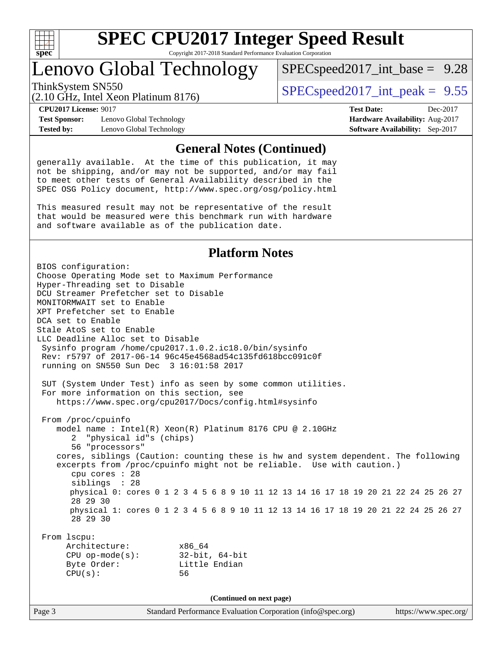

### Lenovo Global Technology

 $SPECspeed2017\_int\_base = 9.28$ 

(2.10 GHz, Intel Xeon Platinum 8176)

ThinkSystem SN550  $SPEC speed2017$  int peak = 9.55

**[Test Sponsor:](http://www.spec.org/auto/cpu2017/Docs/result-fields.html#TestSponsor)** Lenovo Global Technology **[Hardware Availability:](http://www.spec.org/auto/cpu2017/Docs/result-fields.html#HardwareAvailability)** Aug-2017 **[Tested by:](http://www.spec.org/auto/cpu2017/Docs/result-fields.html#Testedby)** Lenovo Global Technology **[Software Availability:](http://www.spec.org/auto/cpu2017/Docs/result-fields.html#SoftwareAvailability)** Sep-2017

**[CPU2017 License:](http://www.spec.org/auto/cpu2017/Docs/result-fields.html#CPU2017License)** 9017 **[Test Date:](http://www.spec.org/auto/cpu2017/Docs/result-fields.html#TestDate)** Dec-2017

#### **[General Notes \(Continued\)](http://www.spec.org/auto/cpu2017/Docs/result-fields.html#GeneralNotes)**

generally available. At the time of this publication, it may not be shipping, and/or may not be supported, and/or may fail to meet other tests of General Availability described in the SPEC OSG Policy document, <http://www.spec.org/osg/policy.html>

This measured result may not be representative of the result that would be measured were this benchmark run with hardware and software available as of the publication date.

#### **[Platform Notes](http://www.spec.org/auto/cpu2017/Docs/result-fields.html#PlatformNotes)**

BIOS configuration: Choose Operating Mode set to Maximum Performance Hyper-Threading set to Disable DCU Streamer Prefetcher set to Disable MONITORMWAIT set to Enable XPT Prefetcher set to Enable DCA set to Enable Stale AtoS set to Enable LLC Deadline Alloc set to Disable Sysinfo program /home/cpu2017.1.0.2.ic18.0/bin/sysinfo Rev: r5797 of 2017-06-14 96c45e4568ad54c135fd618bcc091c0f running on SN550 Sun Dec 3 16:01:58 2017 SUT (System Under Test) info as seen by some common utilities. For more information on this section, see <https://www.spec.org/cpu2017/Docs/config.html#sysinfo> From /proc/cpuinfo model name : Intel(R) Xeon(R) Platinum 8176 CPU @ 2.10GHz 2 "physical id"s (chips) 56 "processors" cores, siblings (Caution: counting these is hw and system dependent. The following excerpts from /proc/cpuinfo might not be reliable. Use with caution.) cpu cores : 28 siblings : 28 physical 0: cores 0 1 2 3 4 5 6 8 9 10 11 12 13 14 16 17 18 19 20 21 22 24 25 26 27 28 29 30 physical 1: cores 0 1 2 3 4 5 6 8 9 10 11 12 13 14 16 17 18 19 20 21 22 24 25 26 27 28 29 30 From lscpu: Architecture: x86\_64 CPU op-mode(s): 32-bit, 64-bit Byte Order: Little Endian CPU(s): 56 **(Continued on next page)**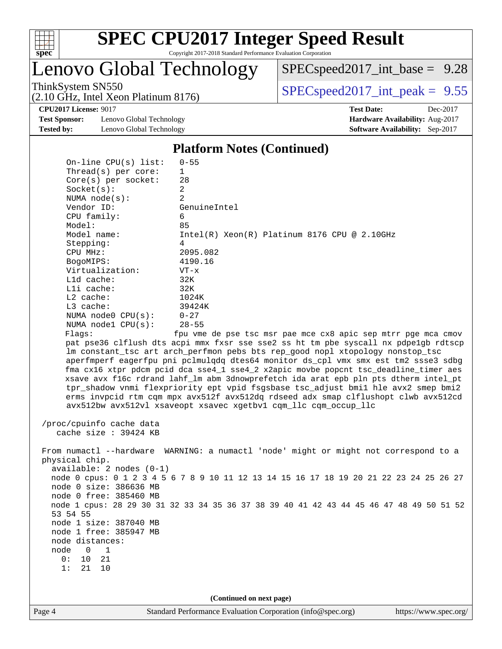

Lenovo Global Technology

[SPECspeed2017\\_int\\_base =](http://www.spec.org/auto/cpu2017/Docs/result-fields.html#SPECspeed2017intbase) 9.28

(2.10 GHz, Intel Xeon Platinum 8176)

ThinkSystem SN550<br>  $SPECspeed2017\_int\_peak = 9.55$ 

**[Test Sponsor:](http://www.spec.org/auto/cpu2017/Docs/result-fields.html#TestSponsor)** Lenovo Global Technology **[Hardware Availability:](http://www.spec.org/auto/cpu2017/Docs/result-fields.html#HardwareAvailability)** Aug-2017 **[Tested by:](http://www.spec.org/auto/cpu2017/Docs/result-fields.html#Testedby)** Lenovo Global Technology **[Software Availability:](http://www.spec.org/auto/cpu2017/Docs/result-fields.html#SoftwareAvailability)** Sep-2017

**[CPU2017 License:](http://www.spec.org/auto/cpu2017/Docs/result-fields.html#CPU2017License)** 9017 **[Test Date:](http://www.spec.org/auto/cpu2017/Docs/result-fields.html#TestDate)** Dec-2017

#### **[Platform Notes \(Continued\)](http://www.spec.org/auto/cpu2017/Docs/result-fields.html#PlatformNotes)**

| On-line CPU(s) list:       | $0 - 55$                                                                                |
|----------------------------|-----------------------------------------------------------------------------------------|
| Thread( $s$ ) per core:    | $\mathbf{1}$                                                                            |
| $Core(s)$ per socket:      | 28                                                                                      |
| Socket(s):                 | $\overline{2}$                                                                          |
| NUMA $node(s)$ :           | 2                                                                                       |
| Vendor ID:                 | GenuineIntel                                                                            |
| CPU family:                | 6                                                                                       |
| Model:                     | 85                                                                                      |
| Model name:                | $Intel(R)$ Xeon $(R)$ Platinum 8176 CPU @ 2.10GHz                                       |
| Stepping:                  | 4                                                                                       |
| CPU MHz:                   | 2095.082                                                                                |
| BogoMIPS:                  | 4190.16                                                                                 |
| Virtualization:            | $VT - x$                                                                                |
| L1d cache:                 | 32K                                                                                     |
| Lli cache:                 | 32K                                                                                     |
| $L2$ cache:                | 1024K                                                                                   |
| $L3$ cache:                | 39424K                                                                                  |
| NUMA node0 CPU(s):         | $0 - 27$                                                                                |
| NUMA $node1$ $CPU(s):$     | $28 - 55$                                                                               |
| Flags:                     | fpu vme de pse tsc msr pae mce cx8 apic sep mtrr pge mca cmov                           |
|                            | pat pse36 clflush dts acpi mmx fxsr sse sse2 ss ht tm pbe syscall nx pdpelgb rdtscp     |
|                            | lm constant_tsc art arch_perfmon pebs bts rep_good nopl xtopology nonstop_tsc           |
|                            | aperfmperf eagerfpu pni pclmulqdq dtes64 monitor ds_cpl vmx smx est tm2 ssse3 sdbg      |
|                            | fma cx16 xtpr pdcm pcid dca sse4_1 sse4_2 x2apic movbe popcnt tsc_deadline_timer aes    |
|                            | xsave avx f16c rdrand lahf_lm abm 3dnowprefetch ida arat epb pln pts dtherm intel_pt    |
|                            | tpr_shadow vnmi flexpriority ept vpid fsgsbase tsc_adjust bmil hle avx2 smep bmi2       |
|                            | erms invpcid rtm cqm mpx avx512f avx512dq rdseed adx smap clflushopt clwb avx512cd      |
|                            | avx512bw avx512vl xsaveopt xsavec xgetbvl cqm_llc cqm_occup_llc                         |
|                            |                                                                                         |
| /proc/cpuinfo cache data   |                                                                                         |
| cache size : 39424 KB      |                                                                                         |
|                            | From numactl --hardware WARNING: a numactl 'node' might or might not correspond to a    |
| physical chip.             |                                                                                         |
| $available: 2 nodes (0-1)$ |                                                                                         |
|                            | node 0 cpus: 0 1 2 3 4 5 6 7 8 9 10 11 12 13 14 15 16 17 18 19 20 21 22 23 24 25 26 27  |
| node 0 size: 386636 MB     |                                                                                         |
| node 0 free: 385460 MB     |                                                                                         |
|                            | node 1 cpus: 28 29 30 31 32 33 34 35 36 37 38 39 40 41 42 43 44 45 46 47 48 49 50 51 52 |
| 53 54 55                   |                                                                                         |

 node 1 size: 387040 MB node 1 free: 385947 MB

node distances:

 node 0 1 0: 10 21

1: 21 10

**(Continued on next page)**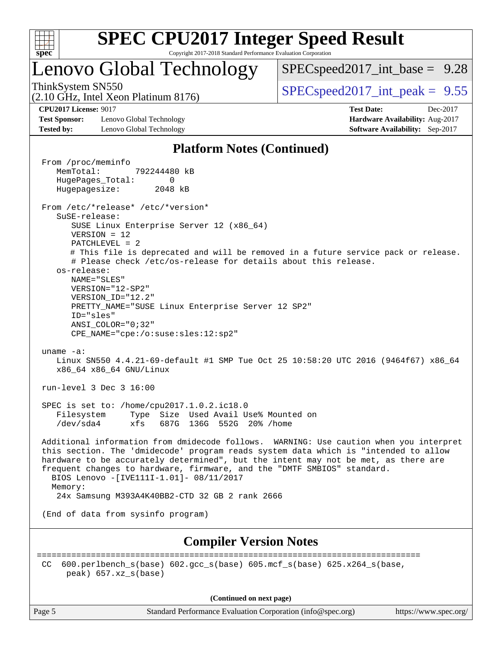

### Lenovo Global Technology

 $SPECspeed2017\_int\_base = 9.28$ 

(2.10 GHz, Intel Xeon Platinum 8176)

ThinkSystem SN550  $SPEC speed2017$  int peak = 9.55

**[Test Sponsor:](http://www.spec.org/auto/cpu2017/Docs/result-fields.html#TestSponsor)** Lenovo Global Technology **[Hardware Availability:](http://www.spec.org/auto/cpu2017/Docs/result-fields.html#HardwareAvailability)** Aug-2017 **[Tested by:](http://www.spec.org/auto/cpu2017/Docs/result-fields.html#Testedby)** Lenovo Global Technology **[Software Availability:](http://www.spec.org/auto/cpu2017/Docs/result-fields.html#SoftwareAvailability)** Sep-2017

**[CPU2017 License:](http://www.spec.org/auto/cpu2017/Docs/result-fields.html#CPU2017License)** 9017 **[Test Date:](http://www.spec.org/auto/cpu2017/Docs/result-fields.html#TestDate)** Dec-2017

#### **[Platform Notes \(Continued\)](http://www.spec.org/auto/cpu2017/Docs/result-fields.html#PlatformNotes)**

 From /proc/meminfo MemTotal: 792244480 kB HugePages\_Total: 0 Hugepagesize: 2048 kB From /etc/\*release\* /etc/\*version\* SuSE-release: SUSE Linux Enterprise Server 12 (x86\_64) VERSION = 12 PATCHLEVEL = 2 # This file is deprecated and will be removed in a future service pack or release. # Please check /etc/os-release for details about this release. os-release: NAME="SLES" VERSION="12-SP2" VERSION\_ID="12.2" PRETTY\_NAME="SUSE Linux Enterprise Server 12 SP2" ID="sles" ANSI\_COLOR="0;32" CPE\_NAME="cpe:/o:suse:sles:12:sp2" uname -a: Linux SN550 4.4.21-69-default #1 SMP Tue Oct 25 10:58:20 UTC 2016 (9464f67) x86\_64 x86\_64 x86\_64 GNU/Linux run-level 3 Dec 3 16:00 SPEC is set to: /home/cpu2017.1.0.2.ic18.0 Filesystem Type Size Used Avail Use% Mounted on /dev/sda4 xfs 687G 136G 552G 20% /home Additional information from dmidecode follows. WARNING: Use caution when you interpret this section. The 'dmidecode' program reads system data which is "intended to allow hardware to be accurately determined", but the intent may not be met, as there are frequent changes to hardware, firmware, and the "DMTF SMBIOS" standard. BIOS Lenovo -[IVE111I-1.01]- 08/11/2017 Memory: 24x Samsung M393A4K40BB2-CTD 32 GB 2 rank 2666 (End of data from sysinfo program) **[Compiler Version Notes](http://www.spec.org/auto/cpu2017/Docs/result-fields.html#CompilerVersionNotes)** ============================================================================== CC 600.perlbench\_s(base) 602.gcc\_s(base) 605.mcf\_s(base) 625.x264\_s(base, peak) 657.xz\_s(base)

**(Continued on next page)**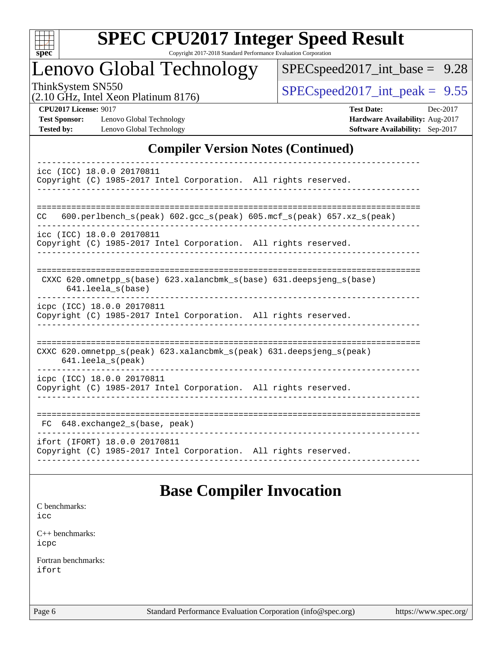

# **[SPEC CPU2017 Integer Speed Result](http://www.spec.org/auto/cpu2017/Docs/result-fields.html#SPECCPU2017IntegerSpeedResult)**

Copyright 2017-2018 Standard Performance Evaluation Corporation

### Lenovo Global Technology

[SPECspeed2017\\_int\\_base =](http://www.spec.org/auto/cpu2017/Docs/result-fields.html#SPECspeed2017intbase) 9.28

(2.10 GHz, Intel Xeon Platinum 8176)

ThinkSystem SN550<br>  $\angle Q$  10 GHz, Intel Year Platinum 8176

**[Test Sponsor:](http://www.spec.org/auto/cpu2017/Docs/result-fields.html#TestSponsor)** Lenovo Global Technology **[Hardware Availability:](http://www.spec.org/auto/cpu2017/Docs/result-fields.html#HardwareAvailability)** Aug-2017 **[Tested by:](http://www.spec.org/auto/cpu2017/Docs/result-fields.html#Testedby)** Lenovo Global Technology **[Software Availability:](http://www.spec.org/auto/cpu2017/Docs/result-fields.html#SoftwareAvailability)** Sep-2017

**[CPU2017 License:](http://www.spec.org/auto/cpu2017/Docs/result-fields.html#CPU2017License)** 9017 **[Test Date:](http://www.spec.org/auto/cpu2017/Docs/result-fields.html#TestDate)** Dec-2017

### **[Compiler Version Notes \(Continued\)](http://www.spec.org/auto/cpu2017/Docs/result-fields.html#CompilerVersionNotes)**

| icc (ICC) 18.0.0 20170811                                                                       |
|-------------------------------------------------------------------------------------------------|
| Copyright (C) 1985-2017 Intel Corporation. All rights reserved.                                 |
|                                                                                                 |
|                                                                                                 |
| $600. perlbench_s (peak) 602. gcc_s (peak) 605. mcf_s (peak) 657. xz_s (peak)$<br>CC.           |
| icc (ICC) 18.0.0 20170811                                                                       |
| Copyright (C) 1985-2017 Intel Corporation. All rights reserved.                                 |
|                                                                                                 |
|                                                                                                 |
| CXXC 620.omnetpp_s(base) 623.xalancbmk_s(base) 631.deepsjeng_s(base)<br>$641.$ leela $s$ (base) |
|                                                                                                 |
| icpc (ICC) 18.0.0 20170811                                                                      |
| Copyright (C) 1985-2017 Intel Corporation. All rights reserved.                                 |
|                                                                                                 |
|                                                                                                 |
| CXXC 620.omnetpp_s(peak) 623.xalancbmk_s(peak) 631.deepsjeng_s(peak)                            |
| $641.$ leela $s$ (peak)                                                                         |
| icpc (ICC) 18.0.0 20170811                                                                      |
| Copyright (C) 1985-2017 Intel Corporation. All rights reserved.                                 |
|                                                                                                 |
|                                                                                                 |
| 648.exchange2_s(base, peak)<br>FC.                                                              |
| ifort (IFORT) 18.0.0 20170811                                                                   |
| Copyright (C) 1985-2017 Intel Corporation. All rights reserved.                                 |
|                                                                                                 |

### **[Base Compiler Invocation](http://www.spec.org/auto/cpu2017/Docs/result-fields.html#BaseCompilerInvocation)**

[C benchmarks](http://www.spec.org/auto/cpu2017/Docs/result-fields.html#Cbenchmarks):

[icc](http://www.spec.org/cpu2017/results/res2018q1/cpu2017-20180108-02582.flags.html#user_CCbase_intel_icc_18.0_66fc1ee009f7361af1fbd72ca7dcefbb700085f36577c54f309893dd4ec40d12360134090235512931783d35fd58c0460139e722d5067c5574d8eaf2b3e37e92)

[C++ benchmarks:](http://www.spec.org/auto/cpu2017/Docs/result-fields.html#CXXbenchmarks) [icpc](http://www.spec.org/cpu2017/results/res2018q1/cpu2017-20180108-02582.flags.html#user_CXXbase_intel_icpc_18.0_c510b6838c7f56d33e37e94d029a35b4a7bccf4766a728ee175e80a419847e808290a9b78be685c44ab727ea267ec2f070ec5dc83b407c0218cded6866a35d07)

[Fortran benchmarks](http://www.spec.org/auto/cpu2017/Docs/result-fields.html#Fortranbenchmarks): [ifort](http://www.spec.org/cpu2017/results/res2018q1/cpu2017-20180108-02582.flags.html#user_FCbase_intel_ifort_18.0_8111460550e3ca792625aed983ce982f94888b8b503583aa7ba2b8303487b4d8a21a13e7191a45c5fd58ff318f48f9492884d4413fa793fd88dd292cad7027ca)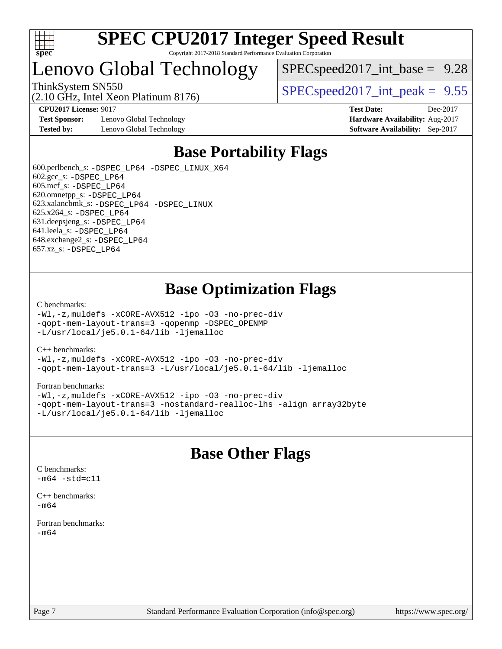

### Lenovo Global Technology

 $SPECspeed2017\_int\_base = 9.28$ 

ThinkSystem SN550  $SPEC speed2017$  int peak = 9.55

**[Test Sponsor:](http://www.spec.org/auto/cpu2017/Docs/result-fields.html#TestSponsor)** Lenovo Global Technology **[Hardware Availability:](http://www.spec.org/auto/cpu2017/Docs/result-fields.html#HardwareAvailability)** Aug-2017 **[Tested by:](http://www.spec.org/auto/cpu2017/Docs/result-fields.html#Testedby)** Lenovo Global Technology **[Software Availability:](http://www.spec.org/auto/cpu2017/Docs/result-fields.html#SoftwareAvailability)** Sep-2017

(2.10 GHz, Intel Xeon Platinum 8176)

**[CPU2017 License:](http://www.spec.org/auto/cpu2017/Docs/result-fields.html#CPU2017License)** 9017 **[Test Date:](http://www.spec.org/auto/cpu2017/Docs/result-fields.html#TestDate)** Dec-2017

### **[Base Portability Flags](http://www.spec.org/auto/cpu2017/Docs/result-fields.html#BasePortabilityFlags)**

 600.perlbench\_s: [-DSPEC\\_LP64](http://www.spec.org/cpu2017/results/res2018q1/cpu2017-20180108-02582.flags.html#b600.perlbench_s_basePORTABILITY_DSPEC_LP64) [-DSPEC\\_LINUX\\_X64](http://www.spec.org/cpu2017/results/res2018q1/cpu2017-20180108-02582.flags.html#b600.perlbench_s_baseCPORTABILITY_DSPEC_LINUX_X64) 602.gcc\_s: [-DSPEC\\_LP64](http://www.spec.org/cpu2017/results/res2018q1/cpu2017-20180108-02582.flags.html#suite_basePORTABILITY602_gcc_s_DSPEC_LP64) 605.mcf\_s: [-DSPEC\\_LP64](http://www.spec.org/cpu2017/results/res2018q1/cpu2017-20180108-02582.flags.html#suite_basePORTABILITY605_mcf_s_DSPEC_LP64) 620.omnetpp\_s: [-DSPEC\\_LP64](http://www.spec.org/cpu2017/results/res2018q1/cpu2017-20180108-02582.flags.html#suite_basePORTABILITY620_omnetpp_s_DSPEC_LP64) 623.xalancbmk\_s: [-DSPEC\\_LP64](http://www.spec.org/cpu2017/results/res2018q1/cpu2017-20180108-02582.flags.html#suite_basePORTABILITY623_xalancbmk_s_DSPEC_LP64) [-DSPEC\\_LINUX](http://www.spec.org/cpu2017/results/res2018q1/cpu2017-20180108-02582.flags.html#b623.xalancbmk_s_baseCXXPORTABILITY_DSPEC_LINUX) 625.x264\_s: [-DSPEC\\_LP64](http://www.spec.org/cpu2017/results/res2018q1/cpu2017-20180108-02582.flags.html#suite_basePORTABILITY625_x264_s_DSPEC_LP64) 631.deepsjeng\_s: [-DSPEC\\_LP64](http://www.spec.org/cpu2017/results/res2018q1/cpu2017-20180108-02582.flags.html#suite_basePORTABILITY631_deepsjeng_s_DSPEC_LP64) 641.leela\_s: [-DSPEC\\_LP64](http://www.spec.org/cpu2017/results/res2018q1/cpu2017-20180108-02582.flags.html#suite_basePORTABILITY641_leela_s_DSPEC_LP64) 648.exchange2\_s: [-DSPEC\\_LP64](http://www.spec.org/cpu2017/results/res2018q1/cpu2017-20180108-02582.flags.html#suite_basePORTABILITY648_exchange2_s_DSPEC_LP64) 657.xz\_s: [-DSPEC\\_LP64](http://www.spec.org/cpu2017/results/res2018q1/cpu2017-20180108-02582.flags.html#suite_basePORTABILITY657_xz_s_DSPEC_LP64)

### **[Base Optimization Flags](http://www.spec.org/auto/cpu2017/Docs/result-fields.html#BaseOptimizationFlags)**

#### [C benchmarks](http://www.spec.org/auto/cpu2017/Docs/result-fields.html#Cbenchmarks):

[-Wl,-z,muldefs](http://www.spec.org/cpu2017/results/res2018q1/cpu2017-20180108-02582.flags.html#user_CCbase_link_force_multiple1_b4cbdb97b34bdee9ceefcfe54f4c8ea74255f0b02a4b23e853cdb0e18eb4525ac79b5a88067c842dd0ee6996c24547a27a4b99331201badda8798ef8a743f577) [-xCORE-AVX512](http://www.spec.org/cpu2017/results/res2018q1/cpu2017-20180108-02582.flags.html#user_CCbase_f-xCORE-AVX512) [-ipo](http://www.spec.org/cpu2017/results/res2018q1/cpu2017-20180108-02582.flags.html#user_CCbase_f-ipo) [-O3](http://www.spec.org/cpu2017/results/res2018q1/cpu2017-20180108-02582.flags.html#user_CCbase_f-O3) [-no-prec-div](http://www.spec.org/cpu2017/results/res2018q1/cpu2017-20180108-02582.flags.html#user_CCbase_f-no-prec-div) [-qopt-mem-layout-trans=3](http://www.spec.org/cpu2017/results/res2018q1/cpu2017-20180108-02582.flags.html#user_CCbase_f-qopt-mem-layout-trans_de80db37974c74b1f0e20d883f0b675c88c3b01e9d123adea9b28688d64333345fb62bc4a798493513fdb68f60282f9a726aa07f478b2f7113531aecce732043) [-qopenmp](http://www.spec.org/cpu2017/results/res2018q1/cpu2017-20180108-02582.flags.html#user_CCbase_qopenmp_16be0c44f24f464004c6784a7acb94aca937f053568ce72f94b139a11c7c168634a55f6653758ddd83bcf7b8463e8028bb0b48b77bcddc6b78d5d95bb1df2967) [-DSPEC\\_OPENMP](http://www.spec.org/cpu2017/results/res2018q1/cpu2017-20180108-02582.flags.html#suite_CCbase_DSPEC_OPENMP) [-L/usr/local/je5.0.1-64/lib](http://www.spec.org/cpu2017/results/res2018q1/cpu2017-20180108-02582.flags.html#user_CCbase_jemalloc_link_path64_4b10a636b7bce113509b17f3bd0d6226c5fb2346b9178c2d0232c14f04ab830f976640479e5c33dc2bcbbdad86ecfb6634cbbd4418746f06f368b512fced5394) [-ljemalloc](http://www.spec.org/cpu2017/results/res2018q1/cpu2017-20180108-02582.flags.html#user_CCbase_jemalloc_link_lib_d1249b907c500fa1c0672f44f562e3d0f79738ae9e3c4a9c376d49f265a04b9c99b167ecedbf6711b3085be911c67ff61f150a17b3472be731631ba4d0471706)

#### [C++ benchmarks:](http://www.spec.org/auto/cpu2017/Docs/result-fields.html#CXXbenchmarks)

[-Wl,-z,muldefs](http://www.spec.org/cpu2017/results/res2018q1/cpu2017-20180108-02582.flags.html#user_CXXbase_link_force_multiple1_b4cbdb97b34bdee9ceefcfe54f4c8ea74255f0b02a4b23e853cdb0e18eb4525ac79b5a88067c842dd0ee6996c24547a27a4b99331201badda8798ef8a743f577) [-xCORE-AVX512](http://www.spec.org/cpu2017/results/res2018q1/cpu2017-20180108-02582.flags.html#user_CXXbase_f-xCORE-AVX512) [-ipo](http://www.spec.org/cpu2017/results/res2018q1/cpu2017-20180108-02582.flags.html#user_CXXbase_f-ipo) [-O3](http://www.spec.org/cpu2017/results/res2018q1/cpu2017-20180108-02582.flags.html#user_CXXbase_f-O3) [-no-prec-div](http://www.spec.org/cpu2017/results/res2018q1/cpu2017-20180108-02582.flags.html#user_CXXbase_f-no-prec-div) [-qopt-mem-layout-trans=3](http://www.spec.org/cpu2017/results/res2018q1/cpu2017-20180108-02582.flags.html#user_CXXbase_f-qopt-mem-layout-trans_de80db37974c74b1f0e20d883f0b675c88c3b01e9d123adea9b28688d64333345fb62bc4a798493513fdb68f60282f9a726aa07f478b2f7113531aecce732043) [-L/usr/local/je5.0.1-64/lib](http://www.spec.org/cpu2017/results/res2018q1/cpu2017-20180108-02582.flags.html#user_CXXbase_jemalloc_link_path64_4b10a636b7bce113509b17f3bd0d6226c5fb2346b9178c2d0232c14f04ab830f976640479e5c33dc2bcbbdad86ecfb6634cbbd4418746f06f368b512fced5394) [-ljemalloc](http://www.spec.org/cpu2017/results/res2018q1/cpu2017-20180108-02582.flags.html#user_CXXbase_jemalloc_link_lib_d1249b907c500fa1c0672f44f562e3d0f79738ae9e3c4a9c376d49f265a04b9c99b167ecedbf6711b3085be911c67ff61f150a17b3472be731631ba4d0471706)

#### [Fortran benchmarks](http://www.spec.org/auto/cpu2017/Docs/result-fields.html#Fortranbenchmarks):

[-Wl,-z,muldefs](http://www.spec.org/cpu2017/results/res2018q1/cpu2017-20180108-02582.flags.html#user_FCbase_link_force_multiple1_b4cbdb97b34bdee9ceefcfe54f4c8ea74255f0b02a4b23e853cdb0e18eb4525ac79b5a88067c842dd0ee6996c24547a27a4b99331201badda8798ef8a743f577) [-xCORE-AVX512](http://www.spec.org/cpu2017/results/res2018q1/cpu2017-20180108-02582.flags.html#user_FCbase_f-xCORE-AVX512) [-ipo](http://www.spec.org/cpu2017/results/res2018q1/cpu2017-20180108-02582.flags.html#user_FCbase_f-ipo) [-O3](http://www.spec.org/cpu2017/results/res2018q1/cpu2017-20180108-02582.flags.html#user_FCbase_f-O3) [-no-prec-div](http://www.spec.org/cpu2017/results/res2018q1/cpu2017-20180108-02582.flags.html#user_FCbase_f-no-prec-div) [-qopt-mem-layout-trans=3](http://www.spec.org/cpu2017/results/res2018q1/cpu2017-20180108-02582.flags.html#user_FCbase_f-qopt-mem-layout-trans_de80db37974c74b1f0e20d883f0b675c88c3b01e9d123adea9b28688d64333345fb62bc4a798493513fdb68f60282f9a726aa07f478b2f7113531aecce732043) [-nostandard-realloc-lhs](http://www.spec.org/cpu2017/results/res2018q1/cpu2017-20180108-02582.flags.html#user_FCbase_f_2003_std_realloc_82b4557e90729c0f113870c07e44d33d6f5a304b4f63d4c15d2d0f1fab99f5daaed73bdb9275d9ae411527f28b936061aa8b9c8f2d63842963b95c9dd6426b8a) [-align array32byte](http://www.spec.org/cpu2017/results/res2018q1/cpu2017-20180108-02582.flags.html#user_FCbase_align_array32byte_b982fe038af199962ba9a80c053b8342c548c85b40b8e86eb3cc33dee0d7986a4af373ac2d51c3f7cf710a18d62fdce2948f201cd044323541f22fc0fffc51b6) [-L/usr/local/je5.0.1-64/lib](http://www.spec.org/cpu2017/results/res2018q1/cpu2017-20180108-02582.flags.html#user_FCbase_jemalloc_link_path64_4b10a636b7bce113509b17f3bd0d6226c5fb2346b9178c2d0232c14f04ab830f976640479e5c33dc2bcbbdad86ecfb6634cbbd4418746f06f368b512fced5394) [-ljemalloc](http://www.spec.org/cpu2017/results/res2018q1/cpu2017-20180108-02582.flags.html#user_FCbase_jemalloc_link_lib_d1249b907c500fa1c0672f44f562e3d0f79738ae9e3c4a9c376d49f265a04b9c99b167ecedbf6711b3085be911c67ff61f150a17b3472be731631ba4d0471706)

### **[Base Other Flags](http://www.spec.org/auto/cpu2017/Docs/result-fields.html#BaseOtherFlags)**

 $-m64 - std= c11$  $-m64 - std= c11$ [C++ benchmarks:](http://www.spec.org/auto/cpu2017/Docs/result-fields.html#CXXbenchmarks)

[C benchmarks](http://www.spec.org/auto/cpu2017/Docs/result-fields.html#Cbenchmarks):

[-m64](http://www.spec.org/cpu2017/results/res2018q1/cpu2017-20180108-02582.flags.html#user_CXXbase_intel_intel64_18.0_af43caccfc8ded86e7699f2159af6efc7655f51387b94da716254467f3c01020a5059329e2569e4053f409e7c9202a7efc638f7a6d1ffb3f52dea4a3e31d82ab)

[Fortran benchmarks](http://www.spec.org/auto/cpu2017/Docs/result-fields.html#Fortranbenchmarks): [-m64](http://www.spec.org/cpu2017/results/res2018q1/cpu2017-20180108-02582.flags.html#user_FCbase_intel_intel64_18.0_af43caccfc8ded86e7699f2159af6efc7655f51387b94da716254467f3c01020a5059329e2569e4053f409e7c9202a7efc638f7a6d1ffb3f52dea4a3e31d82ab)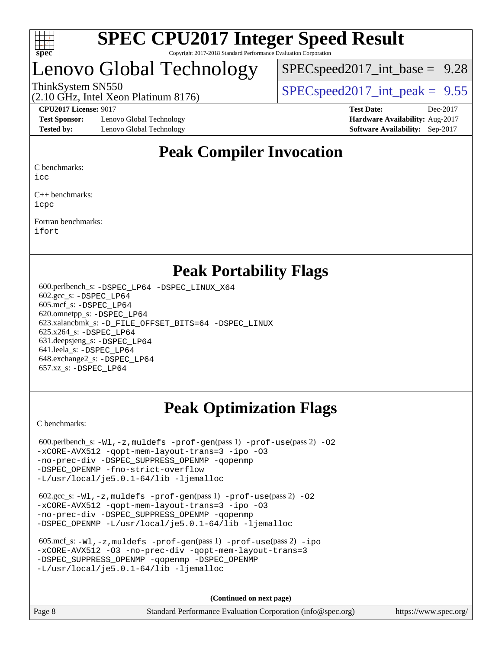

## enovo Global Technology

 $SPECspeed2017\_int\_base = 9.28$ 

ThinkSystem SN550  $SPEC speed2017$  int peak = 9.55

### (2.10 GHz, Intel Xeon Platinum 8176)

**[Test Sponsor:](http://www.spec.org/auto/cpu2017/Docs/result-fields.html#TestSponsor)** Lenovo Global Technology **[Hardware Availability:](http://www.spec.org/auto/cpu2017/Docs/result-fields.html#HardwareAvailability)** Aug-2017 **[Tested by:](http://www.spec.org/auto/cpu2017/Docs/result-fields.html#Testedby)** Lenovo Global Technology **[Software Availability:](http://www.spec.org/auto/cpu2017/Docs/result-fields.html#SoftwareAvailability)** Sep-2017

**[CPU2017 License:](http://www.spec.org/auto/cpu2017/Docs/result-fields.html#CPU2017License)** 9017 **[Test Date:](http://www.spec.org/auto/cpu2017/Docs/result-fields.html#TestDate)** Dec-2017

### **[Peak Compiler Invocation](http://www.spec.org/auto/cpu2017/Docs/result-fields.html#PeakCompilerInvocation)**

[C benchmarks](http://www.spec.org/auto/cpu2017/Docs/result-fields.html#Cbenchmarks):

[icc](http://www.spec.org/cpu2017/results/res2018q1/cpu2017-20180108-02582.flags.html#user_CCpeak_intel_icc_18.0_66fc1ee009f7361af1fbd72ca7dcefbb700085f36577c54f309893dd4ec40d12360134090235512931783d35fd58c0460139e722d5067c5574d8eaf2b3e37e92)

[C++ benchmarks:](http://www.spec.org/auto/cpu2017/Docs/result-fields.html#CXXbenchmarks) [icpc](http://www.spec.org/cpu2017/results/res2018q1/cpu2017-20180108-02582.flags.html#user_CXXpeak_intel_icpc_18.0_c510b6838c7f56d33e37e94d029a35b4a7bccf4766a728ee175e80a419847e808290a9b78be685c44ab727ea267ec2f070ec5dc83b407c0218cded6866a35d07)

[Fortran benchmarks](http://www.spec.org/auto/cpu2017/Docs/result-fields.html#Fortranbenchmarks): [ifort](http://www.spec.org/cpu2017/results/res2018q1/cpu2017-20180108-02582.flags.html#user_FCpeak_intel_ifort_18.0_8111460550e3ca792625aed983ce982f94888b8b503583aa7ba2b8303487b4d8a21a13e7191a45c5fd58ff318f48f9492884d4413fa793fd88dd292cad7027ca)

### **[Peak Portability Flags](http://www.spec.org/auto/cpu2017/Docs/result-fields.html#PeakPortabilityFlags)**

 600.perlbench\_s: [-DSPEC\\_LP64](http://www.spec.org/cpu2017/results/res2018q1/cpu2017-20180108-02582.flags.html#b600.perlbench_s_peakPORTABILITY_DSPEC_LP64) [-DSPEC\\_LINUX\\_X64](http://www.spec.org/cpu2017/results/res2018q1/cpu2017-20180108-02582.flags.html#b600.perlbench_s_peakCPORTABILITY_DSPEC_LINUX_X64) 602.gcc\_s: [-DSPEC\\_LP64](http://www.spec.org/cpu2017/results/res2018q1/cpu2017-20180108-02582.flags.html#suite_peakPORTABILITY602_gcc_s_DSPEC_LP64) 605.mcf\_s: [-DSPEC\\_LP64](http://www.spec.org/cpu2017/results/res2018q1/cpu2017-20180108-02582.flags.html#suite_peakPORTABILITY605_mcf_s_DSPEC_LP64) 620.omnetpp\_s: [-DSPEC\\_LP64](http://www.spec.org/cpu2017/results/res2018q1/cpu2017-20180108-02582.flags.html#suite_peakPORTABILITY620_omnetpp_s_DSPEC_LP64) 623.xalancbmk\_s: [-D\\_FILE\\_OFFSET\\_BITS=64](http://www.spec.org/cpu2017/results/res2018q1/cpu2017-20180108-02582.flags.html#user_peakPORTABILITY623_xalancbmk_s_file_offset_bits_64_5ae949a99b284ddf4e95728d47cb0843d81b2eb0e18bdfe74bbf0f61d0b064f4bda2f10ea5eb90e1dcab0e84dbc592acfc5018bc955c18609f94ddb8d550002c) [-DSPEC\\_LINUX](http://www.spec.org/cpu2017/results/res2018q1/cpu2017-20180108-02582.flags.html#b623.xalancbmk_s_peakCXXPORTABILITY_DSPEC_LINUX) 625.x264\_s: [-DSPEC\\_LP64](http://www.spec.org/cpu2017/results/res2018q1/cpu2017-20180108-02582.flags.html#suite_peakPORTABILITY625_x264_s_DSPEC_LP64) 631.deepsjeng\_s: [-DSPEC\\_LP64](http://www.spec.org/cpu2017/results/res2018q1/cpu2017-20180108-02582.flags.html#suite_peakPORTABILITY631_deepsjeng_s_DSPEC_LP64) 641.leela\_s: [-DSPEC\\_LP64](http://www.spec.org/cpu2017/results/res2018q1/cpu2017-20180108-02582.flags.html#suite_peakPORTABILITY641_leela_s_DSPEC_LP64) 648.exchange2\_s: [-DSPEC\\_LP64](http://www.spec.org/cpu2017/results/res2018q1/cpu2017-20180108-02582.flags.html#suite_peakPORTABILITY648_exchange2_s_DSPEC_LP64) 657.xz\_s: [-DSPEC\\_LP64](http://www.spec.org/cpu2017/results/res2018q1/cpu2017-20180108-02582.flags.html#suite_peakPORTABILITY657_xz_s_DSPEC_LP64)

### **[Peak Optimization Flags](http://www.spec.org/auto/cpu2017/Docs/result-fields.html#PeakOptimizationFlags)**

[C benchmarks](http://www.spec.org/auto/cpu2017/Docs/result-fields.html#Cbenchmarks):

600.perlbench\_s:  $-W1$ , -z, muldefs [-prof-gen](http://www.spec.org/cpu2017/results/res2018q1/cpu2017-20180108-02582.flags.html#user_peakPASS1_CFLAGSPASS1_LDFLAGS600_perlbench_s_prof_gen_5aa4926d6013ddb2a31985c654b3eb18169fc0c6952a63635c234f711e6e63dd76e94ad52365559451ec499a2cdb89e4dc58ba4c67ef54ca681ffbe1461d6b36)(pass 1) [-prof-use](http://www.spec.org/cpu2017/results/res2018q1/cpu2017-20180108-02582.flags.html#user_peakPASS2_CFLAGSPASS2_LDFLAGS600_perlbench_s_prof_use_1a21ceae95f36a2b53c25747139a6c16ca95bd9def2a207b4f0849963b97e94f5260e30a0c64f4bb623698870e679ca08317ef8150905d41bd88c6f78df73f19)(pass 2) -02 [-xCORE-AVX512](http://www.spec.org/cpu2017/results/res2018q1/cpu2017-20180108-02582.flags.html#user_peakPASS2_COPTIMIZE600_perlbench_s_f-xCORE-AVX512) [-qopt-mem-layout-trans=3](http://www.spec.org/cpu2017/results/res2018q1/cpu2017-20180108-02582.flags.html#user_peakPASS1_COPTIMIZEPASS2_COPTIMIZE600_perlbench_s_f-qopt-mem-layout-trans_de80db37974c74b1f0e20d883f0b675c88c3b01e9d123adea9b28688d64333345fb62bc4a798493513fdb68f60282f9a726aa07f478b2f7113531aecce732043) [-ipo](http://www.spec.org/cpu2017/results/res2018q1/cpu2017-20180108-02582.flags.html#user_peakPASS2_COPTIMIZE600_perlbench_s_f-ipo) [-O3](http://www.spec.org/cpu2017/results/res2018q1/cpu2017-20180108-02582.flags.html#user_peakPASS2_COPTIMIZE600_perlbench_s_f-O3) [-no-prec-div](http://www.spec.org/cpu2017/results/res2018q1/cpu2017-20180108-02582.flags.html#user_peakPASS2_COPTIMIZE600_perlbench_s_f-no-prec-div) [-DSPEC\\_SUPPRESS\\_OPENMP](http://www.spec.org/cpu2017/results/res2018q1/cpu2017-20180108-02582.flags.html#suite_peakPASS1_COPTIMIZE600_perlbench_s_DSPEC_SUPPRESS_OPENMP) [-qopenmp](http://www.spec.org/cpu2017/results/res2018q1/cpu2017-20180108-02582.flags.html#user_peakPASS2_COPTIMIZE600_perlbench_s_qopenmp_16be0c44f24f464004c6784a7acb94aca937f053568ce72f94b139a11c7c168634a55f6653758ddd83bcf7b8463e8028bb0b48b77bcddc6b78d5d95bb1df2967) [-DSPEC\\_OPENMP](http://www.spec.org/cpu2017/results/res2018q1/cpu2017-20180108-02582.flags.html#suite_peakPASS2_COPTIMIZE600_perlbench_s_DSPEC_OPENMP) [-fno-strict-overflow](http://www.spec.org/cpu2017/results/res2018q1/cpu2017-20180108-02582.flags.html#user_peakEXTRA_OPTIMIZE600_perlbench_s_f-fno-strict-overflow) [-L/usr/local/je5.0.1-64/lib](http://www.spec.org/cpu2017/results/res2018q1/cpu2017-20180108-02582.flags.html#user_peakEXTRA_LIBS600_perlbench_s_jemalloc_link_path64_4b10a636b7bce113509b17f3bd0d6226c5fb2346b9178c2d0232c14f04ab830f976640479e5c33dc2bcbbdad86ecfb6634cbbd4418746f06f368b512fced5394) [-ljemalloc](http://www.spec.org/cpu2017/results/res2018q1/cpu2017-20180108-02582.flags.html#user_peakEXTRA_LIBS600_perlbench_s_jemalloc_link_lib_d1249b907c500fa1c0672f44f562e3d0f79738ae9e3c4a9c376d49f265a04b9c99b167ecedbf6711b3085be911c67ff61f150a17b3472be731631ba4d0471706)

 602.gcc\_s: [-Wl,-z,muldefs](http://www.spec.org/cpu2017/results/res2018q1/cpu2017-20180108-02582.flags.html#user_peakEXTRA_LDFLAGS602_gcc_s_link_force_multiple1_b4cbdb97b34bdee9ceefcfe54f4c8ea74255f0b02a4b23e853cdb0e18eb4525ac79b5a88067c842dd0ee6996c24547a27a4b99331201badda8798ef8a743f577) [-prof-gen](http://www.spec.org/cpu2017/results/res2018q1/cpu2017-20180108-02582.flags.html#user_peakPASS1_CFLAGSPASS1_LDFLAGS602_gcc_s_prof_gen_5aa4926d6013ddb2a31985c654b3eb18169fc0c6952a63635c234f711e6e63dd76e94ad52365559451ec499a2cdb89e4dc58ba4c67ef54ca681ffbe1461d6b36)(pass 1) [-prof-use](http://www.spec.org/cpu2017/results/res2018q1/cpu2017-20180108-02582.flags.html#user_peakPASS2_CFLAGSPASS2_LDFLAGS602_gcc_s_prof_use_1a21ceae95f36a2b53c25747139a6c16ca95bd9def2a207b4f0849963b97e94f5260e30a0c64f4bb623698870e679ca08317ef8150905d41bd88c6f78df73f19)(pass 2) [-O2](http://www.spec.org/cpu2017/results/res2018q1/cpu2017-20180108-02582.flags.html#user_peakPASS1_COPTIMIZE602_gcc_s_f-O2) [-xCORE-AVX512](http://www.spec.org/cpu2017/results/res2018q1/cpu2017-20180108-02582.flags.html#user_peakPASS2_COPTIMIZE602_gcc_s_f-xCORE-AVX512) [-qopt-mem-layout-trans=3](http://www.spec.org/cpu2017/results/res2018q1/cpu2017-20180108-02582.flags.html#user_peakPASS1_COPTIMIZEPASS2_COPTIMIZE602_gcc_s_f-qopt-mem-layout-trans_de80db37974c74b1f0e20d883f0b675c88c3b01e9d123adea9b28688d64333345fb62bc4a798493513fdb68f60282f9a726aa07f478b2f7113531aecce732043) [-ipo](http://www.spec.org/cpu2017/results/res2018q1/cpu2017-20180108-02582.flags.html#user_peakPASS2_COPTIMIZE602_gcc_s_f-ipo) [-O3](http://www.spec.org/cpu2017/results/res2018q1/cpu2017-20180108-02582.flags.html#user_peakPASS2_COPTIMIZE602_gcc_s_f-O3) [-no-prec-div](http://www.spec.org/cpu2017/results/res2018q1/cpu2017-20180108-02582.flags.html#user_peakPASS2_COPTIMIZE602_gcc_s_f-no-prec-div) [-DSPEC\\_SUPPRESS\\_OPENMP](http://www.spec.org/cpu2017/results/res2018q1/cpu2017-20180108-02582.flags.html#suite_peakPASS1_COPTIMIZE602_gcc_s_DSPEC_SUPPRESS_OPENMP) [-qopenmp](http://www.spec.org/cpu2017/results/res2018q1/cpu2017-20180108-02582.flags.html#user_peakPASS2_COPTIMIZE602_gcc_s_qopenmp_16be0c44f24f464004c6784a7acb94aca937f053568ce72f94b139a11c7c168634a55f6653758ddd83bcf7b8463e8028bb0b48b77bcddc6b78d5d95bb1df2967) [-DSPEC\\_OPENMP](http://www.spec.org/cpu2017/results/res2018q1/cpu2017-20180108-02582.flags.html#suite_peakPASS2_COPTIMIZE602_gcc_s_DSPEC_OPENMP) [-L/usr/local/je5.0.1-64/lib](http://www.spec.org/cpu2017/results/res2018q1/cpu2017-20180108-02582.flags.html#user_peakEXTRA_LIBS602_gcc_s_jemalloc_link_path64_4b10a636b7bce113509b17f3bd0d6226c5fb2346b9178c2d0232c14f04ab830f976640479e5c33dc2bcbbdad86ecfb6634cbbd4418746f06f368b512fced5394) [-ljemalloc](http://www.spec.org/cpu2017/results/res2018q1/cpu2017-20180108-02582.flags.html#user_peakEXTRA_LIBS602_gcc_s_jemalloc_link_lib_d1249b907c500fa1c0672f44f562e3d0f79738ae9e3c4a9c376d49f265a04b9c99b167ecedbf6711b3085be911c67ff61f150a17b3472be731631ba4d0471706)

| 605.mcf s: $-Wl$ , $-z$ , muldefs $-prof-qen(pass 1)$ $-prof-use(pass 2) -ipo$ |
|--------------------------------------------------------------------------------|
| -xCORE-AVX512 -03 -no-prec-div -gopt-mem-layout-trans=3                        |
| -DSPEC SUPPRESS OPENMP - gopenmp - DSPEC OPENMP                                |
| $-L/usr/local/ie5.0.1-64/lib -liemalloc$                                       |

**(Continued on next page)**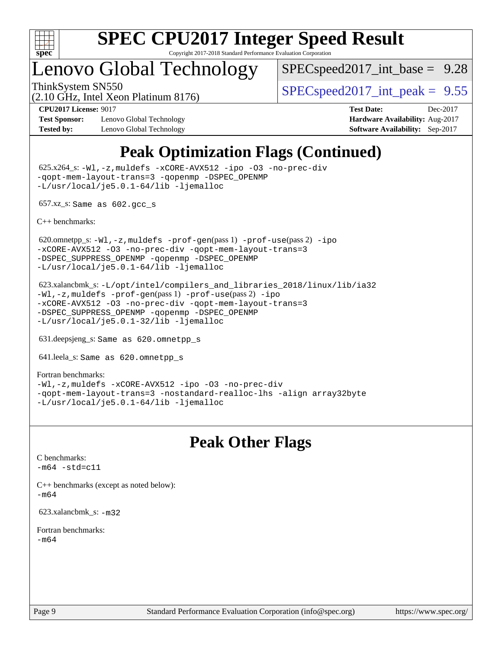

### Lenovo Global Technology

(2.10 GHz, Intel Xeon Platinum 8176)

 $SPECspeed2017\_int\_base = 9.28$ 

ThinkSystem SN550  $SPEC speed2017$  int peak = 9.55

**[Test Sponsor:](http://www.spec.org/auto/cpu2017/Docs/result-fields.html#TestSponsor)** Lenovo Global Technology **[Hardware Availability:](http://www.spec.org/auto/cpu2017/Docs/result-fields.html#HardwareAvailability)** Aug-2017 **[Tested by:](http://www.spec.org/auto/cpu2017/Docs/result-fields.html#Testedby)** Lenovo Global Technology **[Software Availability:](http://www.spec.org/auto/cpu2017/Docs/result-fields.html#SoftwareAvailability)** Sep-2017

**[CPU2017 License:](http://www.spec.org/auto/cpu2017/Docs/result-fields.html#CPU2017License)** 9017 **[Test Date:](http://www.spec.org/auto/cpu2017/Docs/result-fields.html#TestDate)** Dec-2017

### **[Peak Optimization Flags \(Continued\)](http://www.spec.org/auto/cpu2017/Docs/result-fields.html#PeakOptimizationFlags)**

 625.x264\_s: [-Wl,-z,muldefs](http://www.spec.org/cpu2017/results/res2018q1/cpu2017-20180108-02582.flags.html#user_peakEXTRA_LDFLAGS625_x264_s_link_force_multiple1_b4cbdb97b34bdee9ceefcfe54f4c8ea74255f0b02a4b23e853cdb0e18eb4525ac79b5a88067c842dd0ee6996c24547a27a4b99331201badda8798ef8a743f577) [-xCORE-AVX512](http://www.spec.org/cpu2017/results/res2018q1/cpu2017-20180108-02582.flags.html#user_peakCOPTIMIZE625_x264_s_f-xCORE-AVX512) [-ipo](http://www.spec.org/cpu2017/results/res2018q1/cpu2017-20180108-02582.flags.html#user_peakCOPTIMIZE625_x264_s_f-ipo) [-O3](http://www.spec.org/cpu2017/results/res2018q1/cpu2017-20180108-02582.flags.html#user_peakCOPTIMIZE625_x264_s_f-O3) [-no-prec-div](http://www.spec.org/cpu2017/results/res2018q1/cpu2017-20180108-02582.flags.html#user_peakCOPTIMIZE625_x264_s_f-no-prec-div) [-qopt-mem-layout-trans=3](http://www.spec.org/cpu2017/results/res2018q1/cpu2017-20180108-02582.flags.html#user_peakCOPTIMIZE625_x264_s_f-qopt-mem-layout-trans_de80db37974c74b1f0e20d883f0b675c88c3b01e9d123adea9b28688d64333345fb62bc4a798493513fdb68f60282f9a726aa07f478b2f7113531aecce732043) [-qopenmp](http://www.spec.org/cpu2017/results/res2018q1/cpu2017-20180108-02582.flags.html#user_peakCOPTIMIZE625_x264_s_qopenmp_16be0c44f24f464004c6784a7acb94aca937f053568ce72f94b139a11c7c168634a55f6653758ddd83bcf7b8463e8028bb0b48b77bcddc6b78d5d95bb1df2967) [-DSPEC\\_OPENMP](http://www.spec.org/cpu2017/results/res2018q1/cpu2017-20180108-02582.flags.html#suite_peakCOPTIMIZE625_x264_s_DSPEC_OPENMP) [-L/usr/local/je5.0.1-64/lib](http://www.spec.org/cpu2017/results/res2018q1/cpu2017-20180108-02582.flags.html#user_peakEXTRA_LIBS625_x264_s_jemalloc_link_path64_4b10a636b7bce113509b17f3bd0d6226c5fb2346b9178c2d0232c14f04ab830f976640479e5c33dc2bcbbdad86ecfb6634cbbd4418746f06f368b512fced5394) [-ljemalloc](http://www.spec.org/cpu2017/results/res2018q1/cpu2017-20180108-02582.flags.html#user_peakEXTRA_LIBS625_x264_s_jemalloc_link_lib_d1249b907c500fa1c0672f44f562e3d0f79738ae9e3c4a9c376d49f265a04b9c99b167ecedbf6711b3085be911c67ff61f150a17b3472be731631ba4d0471706)

657.xz\_s: Same as 602.gcc\_s

[C++ benchmarks:](http://www.spec.org/auto/cpu2017/Docs/result-fields.html#CXXbenchmarks)

620.omnetpp\_s: $-W1$ ,-z,muldefs -prof-qen(pass 1) [-prof-use](http://www.spec.org/cpu2017/results/res2018q1/cpu2017-20180108-02582.flags.html#user_peakPASS2_CXXFLAGSPASS2_LDFLAGS620_omnetpp_s_prof_use_1a21ceae95f36a2b53c25747139a6c16ca95bd9def2a207b4f0849963b97e94f5260e30a0c64f4bb623698870e679ca08317ef8150905d41bd88c6f78df73f19)(pass 2) [-ipo](http://www.spec.org/cpu2017/results/res2018q1/cpu2017-20180108-02582.flags.html#user_peakPASS1_CXXOPTIMIZEPASS2_CXXOPTIMIZE620_omnetpp_s_f-ipo) [-xCORE-AVX512](http://www.spec.org/cpu2017/results/res2018q1/cpu2017-20180108-02582.flags.html#user_peakPASS2_CXXOPTIMIZE620_omnetpp_s_f-xCORE-AVX512) [-O3](http://www.spec.org/cpu2017/results/res2018q1/cpu2017-20180108-02582.flags.html#user_peakPASS1_CXXOPTIMIZEPASS2_CXXOPTIMIZE620_omnetpp_s_f-O3) [-no-prec-div](http://www.spec.org/cpu2017/results/res2018q1/cpu2017-20180108-02582.flags.html#user_peakPASS1_CXXOPTIMIZEPASS2_CXXOPTIMIZE620_omnetpp_s_f-no-prec-div) [-qopt-mem-layout-trans=3](http://www.spec.org/cpu2017/results/res2018q1/cpu2017-20180108-02582.flags.html#user_peakPASS1_CXXOPTIMIZEPASS2_CXXOPTIMIZE620_omnetpp_s_f-qopt-mem-layout-trans_de80db37974c74b1f0e20d883f0b675c88c3b01e9d123adea9b28688d64333345fb62bc4a798493513fdb68f60282f9a726aa07f478b2f7113531aecce732043) [-DSPEC\\_SUPPRESS\\_OPENMP](http://www.spec.org/cpu2017/results/res2018q1/cpu2017-20180108-02582.flags.html#suite_peakPASS1_CXXOPTIMIZE620_omnetpp_s_DSPEC_SUPPRESS_OPENMP) [-qopenmp](http://www.spec.org/cpu2017/results/res2018q1/cpu2017-20180108-02582.flags.html#user_peakPASS2_CXXOPTIMIZE620_omnetpp_s_qopenmp_16be0c44f24f464004c6784a7acb94aca937f053568ce72f94b139a11c7c168634a55f6653758ddd83bcf7b8463e8028bb0b48b77bcddc6b78d5d95bb1df2967) [-DSPEC\\_OPENMP](http://www.spec.org/cpu2017/results/res2018q1/cpu2017-20180108-02582.flags.html#suite_peakPASS2_CXXOPTIMIZE620_omnetpp_s_DSPEC_OPENMP) [-L/usr/local/je5.0.1-64/lib](http://www.spec.org/cpu2017/results/res2018q1/cpu2017-20180108-02582.flags.html#user_peakEXTRA_LIBS620_omnetpp_s_jemalloc_link_path64_4b10a636b7bce113509b17f3bd0d6226c5fb2346b9178c2d0232c14f04ab830f976640479e5c33dc2bcbbdad86ecfb6634cbbd4418746f06f368b512fced5394) [-ljemalloc](http://www.spec.org/cpu2017/results/res2018q1/cpu2017-20180108-02582.flags.html#user_peakEXTRA_LIBS620_omnetpp_s_jemalloc_link_lib_d1249b907c500fa1c0672f44f562e3d0f79738ae9e3c4a9c376d49f265a04b9c99b167ecedbf6711b3085be911c67ff61f150a17b3472be731631ba4d0471706)

 623.xalancbmk\_s: [-L/opt/intel/compilers\\_and\\_libraries\\_2018/linux/lib/ia32](http://www.spec.org/cpu2017/results/res2018q1/cpu2017-20180108-02582.flags.html#user_peakCXXLD623_xalancbmk_s_Enable-32bit-runtime_af243bdb1d79e4c7a4f720bf8275e627de2ecd461de63307bc14cef0633fde3cd7bb2facb32dcc8be9566045fb55d40ce2b72b725f73827aa7833441b71b9343) [-Wl,-z,muldefs](http://www.spec.org/cpu2017/results/res2018q1/cpu2017-20180108-02582.flags.html#user_peakEXTRA_LDFLAGS623_xalancbmk_s_link_force_multiple1_b4cbdb97b34bdee9ceefcfe54f4c8ea74255f0b02a4b23e853cdb0e18eb4525ac79b5a88067c842dd0ee6996c24547a27a4b99331201badda8798ef8a743f577) [-prof-gen](http://www.spec.org/cpu2017/results/res2018q1/cpu2017-20180108-02582.flags.html#user_peakPASS1_CXXFLAGSPASS1_LDFLAGS623_xalancbmk_s_prof_gen_5aa4926d6013ddb2a31985c654b3eb18169fc0c6952a63635c234f711e6e63dd76e94ad52365559451ec499a2cdb89e4dc58ba4c67ef54ca681ffbe1461d6b36)(pass 1) [-prof-use](http://www.spec.org/cpu2017/results/res2018q1/cpu2017-20180108-02582.flags.html#user_peakPASS2_CXXFLAGSPASS2_LDFLAGS623_xalancbmk_s_prof_use_1a21ceae95f36a2b53c25747139a6c16ca95bd9def2a207b4f0849963b97e94f5260e30a0c64f4bb623698870e679ca08317ef8150905d41bd88c6f78df73f19)(pass 2) [-ipo](http://www.spec.org/cpu2017/results/res2018q1/cpu2017-20180108-02582.flags.html#user_peakPASS1_CXXOPTIMIZEPASS2_CXXOPTIMIZE623_xalancbmk_s_f-ipo) [-xCORE-AVX512](http://www.spec.org/cpu2017/results/res2018q1/cpu2017-20180108-02582.flags.html#user_peakPASS2_CXXOPTIMIZE623_xalancbmk_s_f-xCORE-AVX512) [-O3](http://www.spec.org/cpu2017/results/res2018q1/cpu2017-20180108-02582.flags.html#user_peakPASS1_CXXOPTIMIZEPASS2_CXXOPTIMIZE623_xalancbmk_s_f-O3) [-no-prec-div](http://www.spec.org/cpu2017/results/res2018q1/cpu2017-20180108-02582.flags.html#user_peakPASS1_CXXOPTIMIZEPASS2_CXXOPTIMIZE623_xalancbmk_s_f-no-prec-div) [-qopt-mem-layout-trans=3](http://www.spec.org/cpu2017/results/res2018q1/cpu2017-20180108-02582.flags.html#user_peakPASS1_CXXOPTIMIZEPASS2_CXXOPTIMIZE623_xalancbmk_s_f-qopt-mem-layout-trans_de80db37974c74b1f0e20d883f0b675c88c3b01e9d123adea9b28688d64333345fb62bc4a798493513fdb68f60282f9a726aa07f478b2f7113531aecce732043) [-DSPEC\\_SUPPRESS\\_OPENMP](http://www.spec.org/cpu2017/results/res2018q1/cpu2017-20180108-02582.flags.html#suite_peakPASS1_CXXOPTIMIZE623_xalancbmk_s_DSPEC_SUPPRESS_OPENMP) [-qopenmp](http://www.spec.org/cpu2017/results/res2018q1/cpu2017-20180108-02582.flags.html#user_peakPASS2_CXXOPTIMIZE623_xalancbmk_s_qopenmp_16be0c44f24f464004c6784a7acb94aca937f053568ce72f94b139a11c7c168634a55f6653758ddd83bcf7b8463e8028bb0b48b77bcddc6b78d5d95bb1df2967) [-DSPEC\\_OPENMP](http://www.spec.org/cpu2017/results/res2018q1/cpu2017-20180108-02582.flags.html#suite_peakPASS2_CXXOPTIMIZE623_xalancbmk_s_DSPEC_OPENMP) [-L/usr/local/je5.0.1-32/lib](http://www.spec.org/cpu2017/results/res2018q1/cpu2017-20180108-02582.flags.html#user_peakEXTRA_LIBS623_xalancbmk_s_jemalloc_link_path32_e29f22e8e6c17053bbc6a0971f5a9c01a601a06bb1a59df2084b77a2fe0a2995b64fd4256feaeea39eeba3aae142e96e2b2b0a28974019c0c0c88139a84f900a) [-ljemalloc](http://www.spec.org/cpu2017/results/res2018q1/cpu2017-20180108-02582.flags.html#user_peakEXTRA_LIBS623_xalancbmk_s_jemalloc_link_lib_d1249b907c500fa1c0672f44f562e3d0f79738ae9e3c4a9c376d49f265a04b9c99b167ecedbf6711b3085be911c67ff61f150a17b3472be731631ba4d0471706)

631.deepsjeng\_s: Same as 620.omnetpp\_s

641.leela\_s: Same as 620.omnetpp\_s

[Fortran benchmarks](http://www.spec.org/auto/cpu2017/Docs/result-fields.html#Fortranbenchmarks): [-Wl,-z,muldefs](http://www.spec.org/cpu2017/results/res2018q1/cpu2017-20180108-02582.flags.html#user_FCpeak_link_force_multiple1_b4cbdb97b34bdee9ceefcfe54f4c8ea74255f0b02a4b23e853cdb0e18eb4525ac79b5a88067c842dd0ee6996c24547a27a4b99331201badda8798ef8a743f577) [-xCORE-AVX512](http://www.spec.org/cpu2017/results/res2018q1/cpu2017-20180108-02582.flags.html#user_FCpeak_f-xCORE-AVX512) [-ipo](http://www.spec.org/cpu2017/results/res2018q1/cpu2017-20180108-02582.flags.html#user_FCpeak_f-ipo) [-O3](http://www.spec.org/cpu2017/results/res2018q1/cpu2017-20180108-02582.flags.html#user_FCpeak_f-O3) [-no-prec-div](http://www.spec.org/cpu2017/results/res2018q1/cpu2017-20180108-02582.flags.html#user_FCpeak_f-no-prec-div) [-qopt-mem-layout-trans=3](http://www.spec.org/cpu2017/results/res2018q1/cpu2017-20180108-02582.flags.html#user_FCpeak_f-qopt-mem-layout-trans_de80db37974c74b1f0e20d883f0b675c88c3b01e9d123adea9b28688d64333345fb62bc4a798493513fdb68f60282f9a726aa07f478b2f7113531aecce732043) [-nostandard-realloc-lhs](http://www.spec.org/cpu2017/results/res2018q1/cpu2017-20180108-02582.flags.html#user_FCpeak_f_2003_std_realloc_82b4557e90729c0f113870c07e44d33d6f5a304b4f63d4c15d2d0f1fab99f5daaed73bdb9275d9ae411527f28b936061aa8b9c8f2d63842963b95c9dd6426b8a) [-align array32byte](http://www.spec.org/cpu2017/results/res2018q1/cpu2017-20180108-02582.flags.html#user_FCpeak_align_array32byte_b982fe038af199962ba9a80c053b8342c548c85b40b8e86eb3cc33dee0d7986a4af373ac2d51c3f7cf710a18d62fdce2948f201cd044323541f22fc0fffc51b6) [-L/usr/local/je5.0.1-64/lib](http://www.spec.org/cpu2017/results/res2018q1/cpu2017-20180108-02582.flags.html#user_FCpeak_jemalloc_link_path64_4b10a636b7bce113509b17f3bd0d6226c5fb2346b9178c2d0232c14f04ab830f976640479e5c33dc2bcbbdad86ecfb6634cbbd4418746f06f368b512fced5394) [-ljemalloc](http://www.spec.org/cpu2017/results/res2018q1/cpu2017-20180108-02582.flags.html#user_FCpeak_jemalloc_link_lib_d1249b907c500fa1c0672f44f562e3d0f79738ae9e3c4a9c376d49f265a04b9c99b167ecedbf6711b3085be911c67ff61f150a17b3472be731631ba4d0471706)

### **[Peak Other Flags](http://www.spec.org/auto/cpu2017/Docs/result-fields.html#PeakOtherFlags)**

[C benchmarks](http://www.spec.org/auto/cpu2017/Docs/result-fields.html#Cbenchmarks):  $-m64 - std= c11$  $-m64 - std= c11$ 

[C++ benchmarks \(except as noted below\):](http://www.spec.org/auto/cpu2017/Docs/result-fields.html#CXXbenchmarksexceptasnotedbelow) [-m64](http://www.spec.org/cpu2017/results/res2018q1/cpu2017-20180108-02582.flags.html#user_CXXpeak_intel_intel64_18.0_af43caccfc8ded86e7699f2159af6efc7655f51387b94da716254467f3c01020a5059329e2569e4053f409e7c9202a7efc638f7a6d1ffb3f52dea4a3e31d82ab)

623.xalancbmk\_s: [-m32](http://www.spec.org/cpu2017/results/res2018q1/cpu2017-20180108-02582.flags.html#user_peakCXXLD623_xalancbmk_s_intel_ia32_18.0_2666f1173eb60787016b673bfe1358e27016ef7649ea4884b7bc6187fd89dc221d14632e22638cde1c647a518de97358ab15d4ad098ee4e19a8b28d0c25e14bf)

[Fortran benchmarks](http://www.spec.org/auto/cpu2017/Docs/result-fields.html#Fortranbenchmarks): [-m64](http://www.spec.org/cpu2017/results/res2018q1/cpu2017-20180108-02582.flags.html#user_FCpeak_intel_intel64_18.0_af43caccfc8ded86e7699f2159af6efc7655f51387b94da716254467f3c01020a5059329e2569e4053f409e7c9202a7efc638f7a6d1ffb3f52dea4a3e31d82ab)